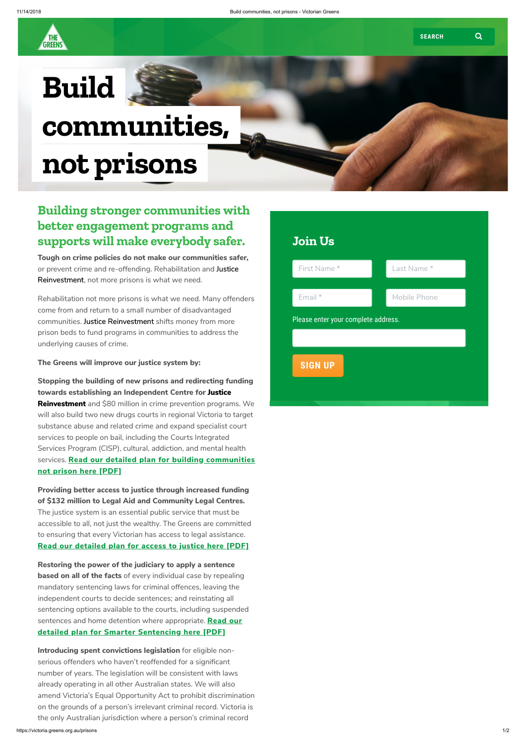GREENS

## Build communities, not prisons

## Building stronger communities with better engagement programs and supports will make everybody safer.

Tough on crime policies do not make our communities safer, or prevent crime and re-offending. Rehabilitation and Justice Reinvestment, not more prisons is what we need.

Rehabilitation not more prisons is what we need. Many offenders come from and return to a small number of disadvantaged communities. Justice Reinvestment shifts money from more prison beds to fund programs in communities to address the underlying causes of crime.

The Greens will improve our justice system by:

Stopping the building of new prisons and redirecting funding towards establishing an Independent Centre for Justice Reinvestment and \$80 million in crime prevention programs. We will also build two new drugs courts in regional Victoria to target substance abuse and related crime and expand specialist court services to people on bail, including the Courts Integrated Services Program (CISP), cultural, addiction, and mental health services. Read our detailed plan for building [communities](https://d3n8a8pro7vhmx.cloudfront.net/agv/pages/18554/attachments/original/1540900441/AGV_Justice_Reinvestment.pdf?1540900441) not prison here [PDF]

Introducing spent convictions legislation for eligible nonserious offenders who haven't reoffended for a significant number of years. The legislation will be consistent with laws already operating in all other Australian states. We will also amend Victoria's Equal Opportunity Act to prohibit discrimination on the grounds of a person's irrelevant criminal record. Victoria is the only Australian jurisdiction where a person's criminal record

Providing better access to justice through increased funding of \$132 million to Legal Aid and Community Legal Centres. The justice system is an essential public service that must be accessible to all, not just the wealthy. The Greens are committed to ensuring that every Victorian has access to legal assistance. Read our [detailed](https://d3n8a8pro7vhmx.cloudfront.net/agv/pages/18554/attachments/original/1540900456/AGV_Access_to_Justice.pdf?1540900456) plan for access to justice here [PDF]

Restoring the power of the judiciary to apply a sentence **based on all of the facts** of every individual case by repealing mandatory sentencing laws for criminal offences, leaving the independent courts to decide sentences; and reinstating all sentencing options available to the courts, including suspended sentences and home detention where appropriate. Read our detailed plan for Smarter [Sentencing](https://d3n8a8pro7vhmx.cloudfront.net/agv/pages/18554/attachments/original/1540900446/AGV_Smarter_Sentencing.pdf?1540900446) here [PDF]